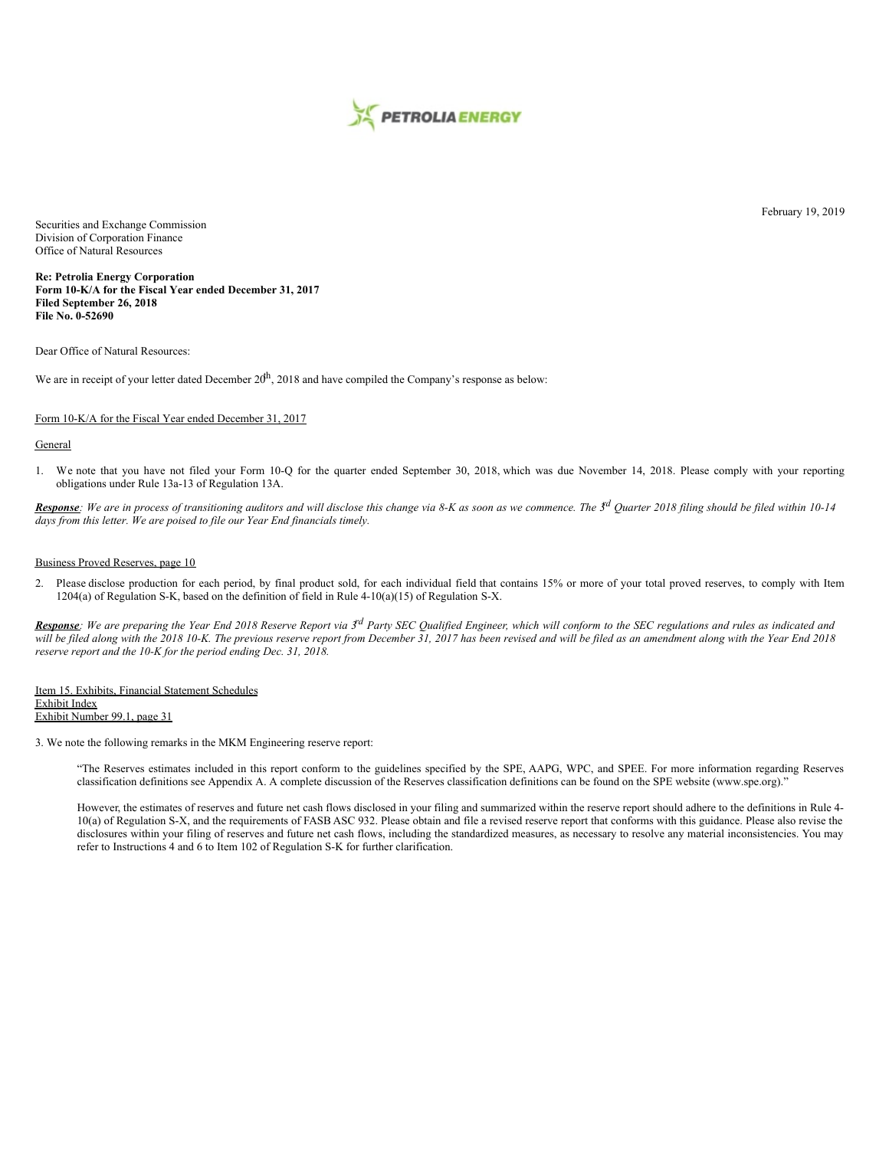

Securities and Exchange Commission Division of Corporation Finance Office of Natural Resources

**Re: Petrolia Energy Corporation Form 10-K/A for the Fiscal Year ended December 31, 2017 Filed September 26, 2018 File No. 0-52690**

Dear Office of Natural Resources:

We are in receipt of your letter dated December  $20<sup>h</sup>$ , 2018 and have compiled the Company's response as below:

# Form 10-K/A for the Fiscal Year ended December 31, 2017

# General

1. We note that you have not filed your Form 10-Q for the quarter ended September 30, 2018, which was due November 14, 2018. Please comply with your reporting obligations under Rule 13a-13 of Regulation 13A.

Response: We are in process of transitioning auditors and will disclose this change via 8-K as soon as we commence. The 3<sup>d</sup> Quarter 2018 filing should be filed within 10-14 *days from this letter. We are poised to file our Year End financials timely.*

### Business Proved Reserves, page 10

2. Please disclose production for each period, by final product sold, for each individual field that contains 15% or more of your total proved reserves, to comply with Item 1204(a) of Regulation S-K, based on the definition of field in Rule 4-10(a)(15) of Regulation S-X.

Response: We are preparing the Year End 2018 Reserve Report via 3<sup>rd</sup> Party SEC Qualified Engineer, which will conform to the SEC regulations and rules as indicated and will be filed along with the 2018 10-K. The previous reserve report from December 31, 2017 has been revised and will be filed as an amendment along with the Year End 2018 *reserve report and the 10-K for the period ending Dec. 31, 2018.*

Item 15. Exhibits, Financial Statement Schedules Exhibit Index Exhibit Number 99.1, page 31

3. We note the following remarks in the MKM Engineering reserve report:

"The Reserves estimates included in this report conform to the guidelines specified by the SPE, AAPG, WPC, and SPEE. For more information regarding Reserves classification definitions see Appendix A. A complete discussion of the Reserves classification definitions can be found on the SPE website (www.spe.org)."

However, the estimates of reserves and future net cash flows disclosed in your filing and summarized within the reserve report should adhere to the definitions in Rule 4- 10(a) of Regulation S-X, and the requirements of FASB ASC 932. Please obtain and file a revised reserve report that conforms with this guidance. Please also revise the disclosures within your filing of reserves and future net cash flows, including the standardized measures, as necessary to resolve any material inconsistencies. You may refer to Instructions 4 and 6 to Item 102 of Regulation S-K for further clarification.

February 19, 2019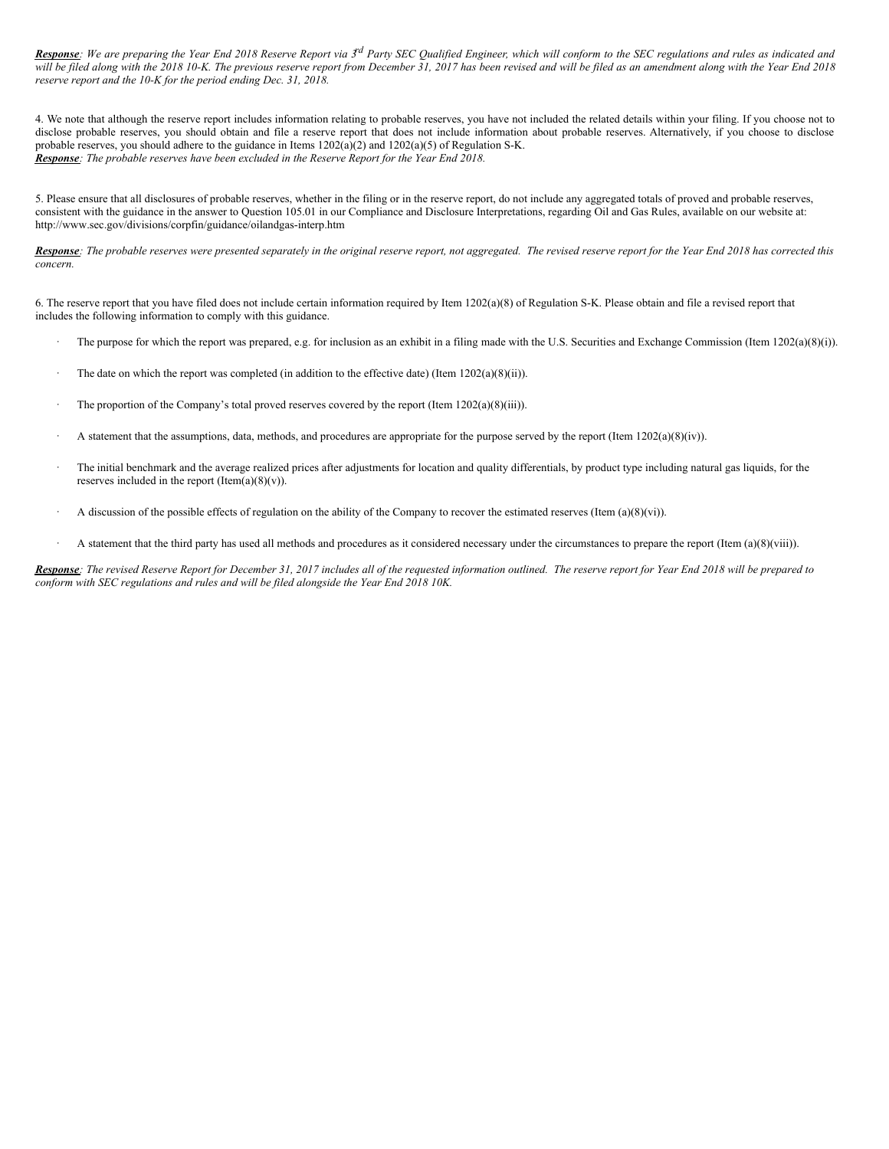Response: We are preparing the Year End 2018 Reserve Report via 3<sup>rd</sup> Party SEC Qualified Engineer, which will conform to the SEC regulations and rules as indicated and will be filed along with the 2018 10-K. The previous reserve report from December 31, 2017 has been revised and will be filed as an amendment along with the Year End 2018 *reserve report and the 10-K for the period ending Dec. 31, 2018.*

4. We note that although the reserve report includes information relating to probable reserves, you have not included the related details within your filing. If you choose not to disclose probable reserves, you should obtain and file a reserve report that does not include information about probable reserves. Alternatively, if you choose to disclose probable reserves, you should adhere to the guidance in Items 1202(a)(2) and 1202(a)(5) of Regulation S-K. *Response: The probable reserves have been excluded in the Reserve Report for the Year End 2018.*

5. Please ensure that all disclosures of probable reserves, whether in the filing or in the reserve report, do not include any aggregated totals of proved and probable reserves, consistent with the guidance in the answer to Question 105.01 in our Compliance and Disclosure Interpretations, regarding Oil and Gas Rules, available on our website at: http://www.sec.gov/divisions/corpfin/guidance/oilandgas-interp.htm

Response: The probable reserves were presented separately in the original reserve report, not aggregated. The revised reserve report for the Year End 2018 has corrected this *concern.*

6. The reserve report that you have filed does not include certain information required by Item 1202(a)(8) of Regulation S-K. Please obtain and file a revised report that includes the following information to comply with this guidance.

- The purpose for which the report was prepared, e.g. for inclusion as an exhibit in a filing made with the U.S. Securities and Exchange Commission (Item 1202(a)(8)(i)).
- The date on which the report was completed (in addition to the effective date) (Item  $1202(a)(8)(ii)$ ).
- The proportion of the Company's total proved reserves covered by the report (Item 1202(a)(8)(iii)).
- · A statement that the assumptions, data, methods, and procedures are appropriate for the purpose served by the report (Item 1202(a)(8)(iv)).
- The initial benchmark and the average realized prices after adjustments for location and quality differentials, by product type including natural gas liquids, for the reserves included in the report  $(Item(a)(8)(v))$ .
- A discussion of the possible effects of regulation on the ability of the Company to recover the estimated reserves (Item  $(a)(8)(vi)$ ).
- · A statement that the third party has used all methods and procedures as it considered necessary under the circumstances to prepare the report (Item (a)(8)(viii)).

Response: The revised Reserve Report for December 31, 2017 includes all of the requested information outlined. The reserve report for Year End 2018 will be prepared to *conform with SEC regulations and rules and will be filed alongside the Year End 2018 10K.*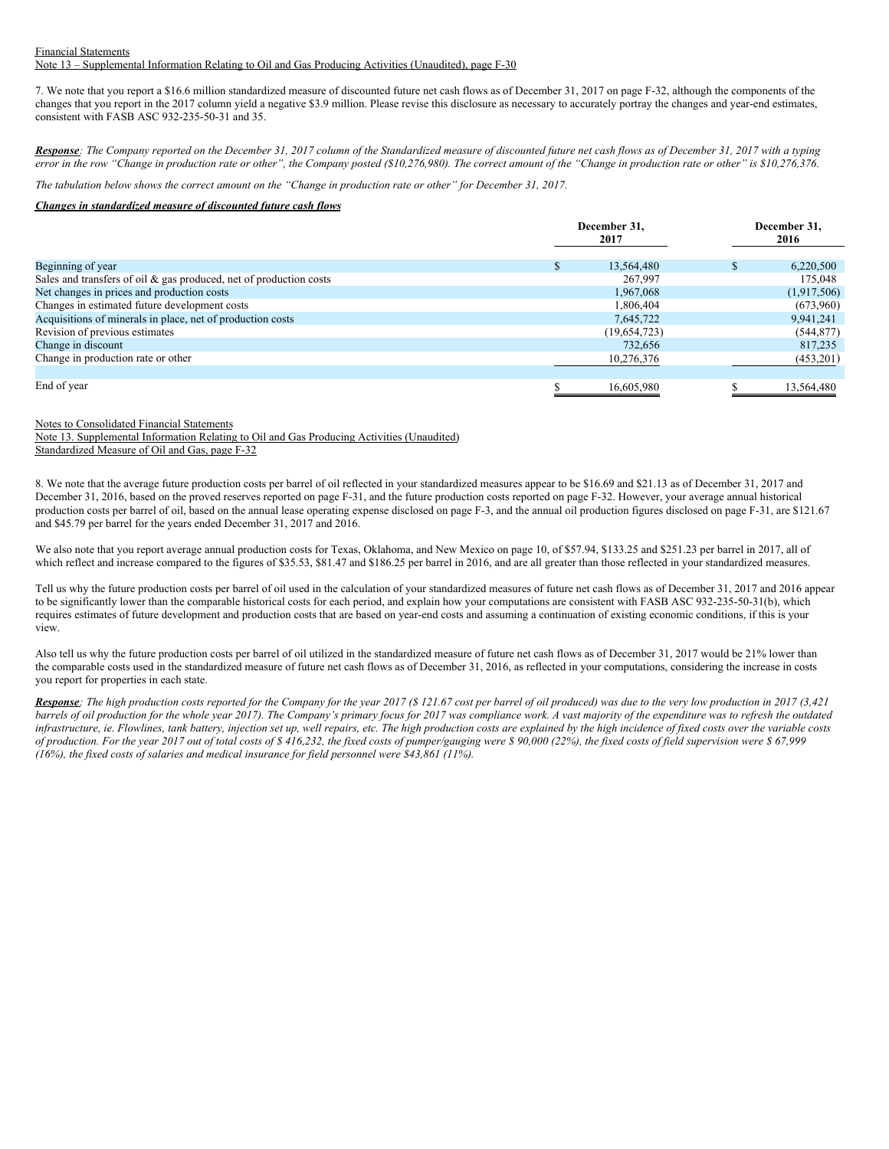#### Financial Statements Note 13 – Supplemental Information Relating to Oil and Gas Producing Activities (Unaudited), page F-30

7. We note that you report a \$16.6 million standardized measure of discounted future net cash flows as of December 31, 2017 on page F-32, although the components of the changes that you report in the 2017 column yield a negative \$3.9 million. Please revise this disclosure as necessary to accurately portray the changes and year-end estimates, consistent with FASB ASC 932-235-50-31 and 35.

Response: The Company reported on the December 31, 2017 column of the Standardized measure of discounted future net cash flows as of December 31, 2017 with a typing error in the row "Change in production rate or other", the Company posted (\$10,276,980). The correct amount of the "Change in production rate or other" is \$10,276,376.

The tabulation below shows the correct amount on the "Change in production rate or other" for December 31, 2017.

# *Changes in standardized measure of discounted future cash flows*

|                                                                       | December 31,<br>2017 |   | December 31,<br>2016 |  |
|-----------------------------------------------------------------------|----------------------|---|----------------------|--|
| Beginning of year                                                     | 13,564,480           | ж | 6,220,500            |  |
| Sales and transfers of oil $\&$ gas produced, net of production costs | 267,997              |   | 175,048              |  |
| Net changes in prices and production costs                            | 1,967,068            |   | (1,917,506)          |  |
| Changes in estimated future development costs                         | 1,806,404            |   | (673,960)            |  |
| Acquisitions of minerals in place, net of production costs            | 7,645,722            |   | 9,941,241            |  |
| Revision of previous estimates                                        | (19,654,723)         |   | (544, 877)           |  |
| Change in discount                                                    | 732,656              |   | 817,235              |  |
| Change in production rate or other                                    | 10,276,376           |   | (453,201)            |  |
|                                                                       |                      |   |                      |  |
| End of year                                                           | 16,605,980           |   | 13,564,480           |  |

### Notes to Consolidated Financial Statements

Note 13. Supplemental Information Relating to Oil and Gas Producing Activities (Unaudited)

Standardized Measure of Oil and Gas, page F-32

8. We note that the average future production costs per barrel of oil reflected in your standardized measures appear to be \$16.69 and \$21.13 as of December 31, 2017 and December 31, 2016, based on the proved reserves reported on page F-31, and the future production costs reported on page F-32. However, your average annual historical production costs per barrel of oil, based on the annual lease operating expense disclosed on page F-3, and the annual oil production figures disclosed on page F-31, are \$121.67 and \$45.79 per barrel for the years ended December 31, 2017 and 2016.

We also note that you report average annual production costs for Texas, Oklahoma, and New Mexico on page 10, of \$57.94, \$133.25 and \$251.23 per barrel in 2017, all of which reflect and increase compared to the figures of \$35.53, \$81.47 and \$186.25 per barrel in 2016, and are all greater than those reflected in your standardized measures.

Tell us why the future production costs per barrel of oil used in the calculation of your standardized measures of future net cash flows as of December 31, 2017 and 2016 appear to be significantly lower than the comparable historical costs for each period, and explain how your computations are consistent with FASB ASC 932-235-50-31(b), which requires estimates of future development and production costs that are based on year-end costs and assuming a continuation of existing economic conditions, if this is your view.

Also tell us why the future production costs per barrel of oil utilized in the standardized measure of future net cash flows as of December 31, 2017 would be 21% lower than the comparable costs used in the standardized measure of future net cash flows as of December 31, 2016, as reflected in your computations, considering the increase in costs you report for properties in each state.

**Response**: The high production costs reported for the Company for the year 2017 (\$121.67 cost per barrel of oil produced) was due to the very low production in 2017 (3.421 barrels of oil production for the whole year 2017). The Company's primary focus for 2017 was compliance work. A vast majority of the expenditure was to refresh the outdated infrastructure, ie. Flowlines, tank battery, injection set up, well repairs, etc. The high production costs are explained by the high incidence of fixed costs over the variable costs of production. For the year 2017 out of total costs of  $\frac{s}{416,232}$ , the fixed costs of pumper/gauging were  $\frac{s}{90,000}$  (22%), the fixed costs of field supervision were  $\frac{s}{67,999}$ *(16%), the fixed costs of salaries and medical insurance for field personnel were \$43,861 (11%).*